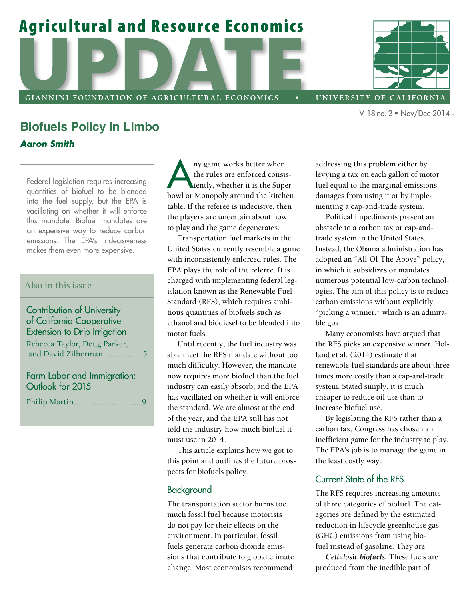# **Agricultural and Resource Economics**

GIANNINI FOUNDATION OF AGRICULTURAL ECONOMICS



UNIVERSITY OF CALIFORNIA

V. 18 no. 2 • Nov/Dec 2014 -

# **Biofuels Policy in Limbo**  *Aaron Smith*

Federal legislation requires increasing quantities of biofuel to be blended into the fuel supply, but the EPA is vacillating on whether it will enforce this mandate. Biofuel mandates are an expensive way to reduce carbon emissions. The EPA's indecisiveness makes them even more expensive.

#### Also in this issue

Contribution of University of California Cooperative Extension to Drip Irrigation Rebecca Taylor, Doug Parker, and David Zilberman.....................5 Farm Labor and Immigration: Outlook for 2015 Philip Martin....................................9

Any game works better when<br>the rules are enforced consistently, whether it is the Super the rules are enforced consistently, whether it is the Superbowl or Monopoly around the kitchen table. If the referee is indecisive, then the players are uncertain about how to play and the game degenerates.

Transportation fuel markets in the United States currently resemble a game with inconsistently enforced rules. The EPA plays the role of the referee. It is charged with implementing federal legislation known as the Renewable Fuel Standard (RFS), which requires ambitious quantities of biofuels such as ethanol and biodiesel to be blended into motor fuels.

Until recently, the fuel industry was able meet the RFS mandate without too much difficulty. However, the mandate now requires more biofuel than the fuel industry can easily absorb, and the EPA has vacillated on whether it will enforce the standard. We are almost at the end of the year, and the EPA still has not told the industry how much biofuel it must use in 2014.

This article explains how we got to this point and outlines the future prospects for biofuels policy.

## Background

The transportation sector burns too much fossil fuel because motorists do not pay for their effects on the environment. In particular, fossil fuels generate carbon dioxide emissions that contribute to global climate change. Most economists recommend

addressing this problem either by levying a tax on each gallon of motor fuel equal to the marginal emissions damages from using it or by implementing a cap-and-trade system.

Political impediments present an obstacle to a carbon tax or cap-andtrade system in the United States. Instead, the Obama administration has adopted an "All-Of-The-Above" policy, in which it subsidizes or mandates numerous potential low-carbon technologies. The aim of this policy is to reduce carbon emissions without explicitly "picking a winner," which is an admirable goal.

Many economists have argued that the RFS picks an expensive winner. Holland et al. (2014) estimate that renewable-fuel standards are about three times more costly than a cap-and-trade system. Stated simply, it is much cheaper to reduce oil use than to increase biofuel use.

By legislating the RFS rather than a carbon tax, Congress has chosen an inefficient game for the industry to play. The EPA's job is to manage the game in the least costly way.

# Current State of the RFS

The RFS requires increasing amounts of three categories of biofuel. The categories are defined by the estimated reduction in lifecycle greenhouse gas (GHG) emissions from using biofuel instead of gasoline. They are:

*Cellulosic biofuels.* These fuels are produced from the inedible part of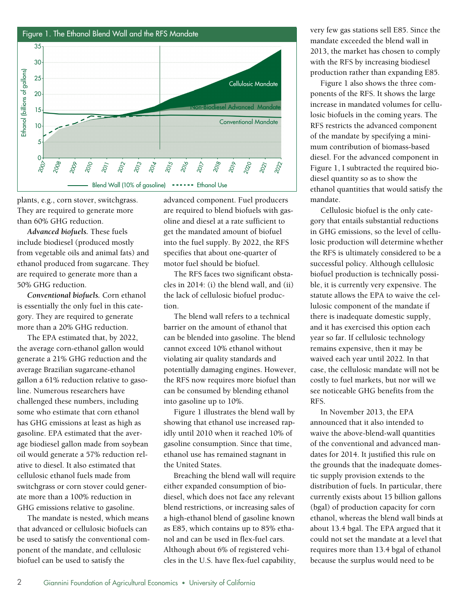

plants, e.g., corn stover, switchgrass. They are required to generate more than 60% GHG reduction.

*Advanced biofuels.* These fuels include biodiesel (produced mostly from vegetable oils and animal fats) and ethanol produced from sugarcane. They are required to generate more than a 50% GHG reduction.

*Conventional biofuels.* Corn ethanol is essentially the only fuel in this category. They are required to generate more than a 20% GHG reduction.

The EPA estimated that, by 2022, the average corn-ethanol gallon would generate a 21% GHG reduction and the average Brazilian sugarcane-ethanol gallon a 61% reduction relative to gasoline. Numerous researchers have challenged these numbers, including some who estimate that corn ethanol has GHG emissions at least as high as gasoline. EPA estimated that the average biodiesel gallon made from soybean oil would generate a 57% reduction relative to diesel. It also estimated that cellulosic ethanol fuels made from switchgrass or corn stover could generate more than a 100% reduction in GHG emissions relative to gasoline.

The mandate is nested, which means that advanced or cellulosic biofuels can be used to satisfy the conventional component of the mandate, and cellulosic biofuel can be used to satisfy the

advanced component. Fuel producers are required to blend biofuels with gasoline and diesel at a rate sufficient to get the mandated amount of biofuel into the fuel supply. By 2022, the RFS specifies that about one-quarter of motor fuel should be biofuel.

The RFS faces two significant obstacles in 2014: (i) the blend wall, and (ii) the lack of cellulosic biofuel production.

The blend wall refers to a technical barrier on the amount of ethanol that can be blended into gasoline. The blend cannot exceed 10% ethanol without violating air quality standards and potentially damaging engines. However, the RFS now requires more biofuel than can be consumed by blending ethanol into gasoline up to 10%.

Figure 1 illustrates the blend wall by showing that ethanol use increased rapidly until 2010 when it reached 10% of gasoline consumption. Since that time, ethanol use has remained stagnant in the United States.

Breaching the blend wall will require either expanded consumption of biodiesel, which does not face any relevant blend restrictions, or increasing sales of a high-ethanol blend of gasoline known as E85, which contains up to 85% ethanol and can be used in flex-fuel cars. Although about 6% of registered vehicles in the U.S. have flex-fuel capability,

very few gas stations sell E85. Since the mandate exceeded the blend wall in 2013, the market has chosen to comply with the RFS by increasing biodiesel production rather than expanding E85.

Figure 1 also shows the three components of the RFS. It shows the large increase in mandated volumes for cellulosic biofuels in the coming years. The RFS restricts the advanced component of the mandate by specifying a minimum contribution of biomass-based diesel. For the advanced component in Figure 1, I subtracted the required biodiesel quantity so as to show the ethanol quantities that would satisfy the mandate.

Cellulosic biofuel is the only category that entails substantial reductions in GHG emissions, so the level of cellulosic production will determine whether the RFS is ultimately considered to be a successful policy. Although cellulosic biofuel production is technically possible, it is currently very expensive. The statute allows the EPA to waive the cellulosic component of the mandate if there is inadequate domestic supply, and it has exercised this option each year so far. If cellulosic technology remains expensive, then it may be waived each year until 2022. In that case, the cellulosic mandate will not be costly to fuel markets, but nor will we see noticeable GHG benefits from the RFS.

In November 2013, the EPA announced that it also intended to waive the above-blend-wall quantities of the conventional and advanced mandates for 2014. It justified this rule on the grounds that the inadequate domestic supply provision extends to the distribution of fuels. In particular, there currently exists about 15 billion gallons (bgal) of production capacity for corn ethanol, whereas the blend wall binds at about 13.4 bgal. The EPA argued that it could not set the mandate at a level that requires more than 13.4 bgal of ethanol because the surplus would need to be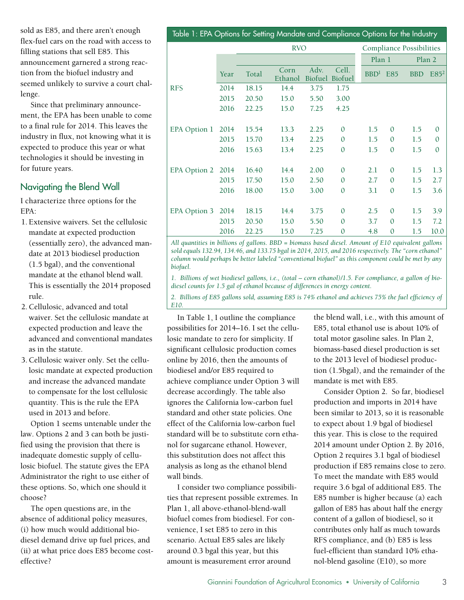sold as E85, and there aren't enough flex-fuel cars on the road with access to filling stations that sell E85. This announcement garnered a strong reaction from the biofuel industry and seemed unlikely to survive a court challenge.

Since that preliminary announcement, the EPA has been unable to come to a final rule for 2014. This leaves the industry in flux, not knowing what it is expected to produce this year or what technologies it should be investing in for future years.

## Navigating the Blend Wall

I characterize three options for the EPA:

- 1. Extensive waivers. Set the cellulosic mandate at expected production (essentially zero), the advanced mandate at 2013 biodiesel production (1.5 bgal), and the conventional mandate at the ethanol blend wall. This is essentially the 2014 proposed rule.
- 2. Cellulosic, advanced and total waiver. Set the cellulosic mandate at expected production and leave the advanced and conventional mandates as in the statute.
- 3. Cellulosic waiver only. Set the cellulosic mandate at expected production and increase the advanced mandate to compensate for the lost cellulosic quantity. This is the rule the EPA used in 2013 and before.

Option 1 seems untenable under the law. Options 2 and 3 can both be justified using the provision that there is inadequate domestic supply of cellulosic biofuel. The statute gives the EPA Administrator the right to use either of these options. So, which one should it choose?

The open questions are, in the absence of additional policy measures, (i) how much would additional biodiesel demand drive up fuel prices, and (ii) at what price does E85 become costeffective?

| Table 1: EPA Options for Setting Mandate and Compliance Options for the Industry |      |            |                 |      |                          |                          |              |            |          |
|----------------------------------------------------------------------------------|------|------------|-----------------|------|--------------------------|--------------------------|--------------|------------|----------|
|                                                                                  |      | <b>RVO</b> |                 |      |                          | Compliance Possibilities |              |            |          |
|                                                                                  |      |            |                 |      |                          | Plan 1                   |              | Plan 2     |          |
|                                                                                  | Year | Total      | Corn<br>Ethanol | Adv. | Cell.<br>Biofuel Biofuel | BBD <sup>1</sup>         | E85          | <b>BBD</b> | $E85^2$  |
| <b>RFS</b>                                                                       | 2014 | 18.15      | 14.4            | 3.75 | 1.75                     |                          |              |            |          |
|                                                                                  | 2015 | 20.50      | 15.0            | 5.50 | 3.00                     |                          |              |            |          |
|                                                                                  | 2016 | 22.25      | 15.0            | 7.25 | 4.25                     |                          |              |            |          |
|                                                                                  |      |            |                 |      |                          |                          |              |            |          |
| EPA Option 1                                                                     | 2014 | 15.54      | 13.3            | 2.25 | $\mathbf{0}$             | 1.5                      | $\mathbf{0}$ | 1.5        | $\Omega$ |
|                                                                                  | 2015 | 15.70      | 13.4            | 2.25 | $\Omega$                 | 1.5                      | $\Omega$     | 1.5        | $\Omega$ |
|                                                                                  | 2016 | 15.63      | 13.4            | 2.25 | $\Omega$                 | 1.5                      | $\mathbf{0}$ | 1.5        | $\Omega$ |
|                                                                                  |      |            |                 |      |                          |                          |              |            |          |
| EPA Option 2                                                                     | 2014 | 16.40      | 14.4            | 2.00 | $\mathbf{0}$             | 2.1                      | $\mathbf{0}$ | 1.5        | 1.3      |
|                                                                                  | 2015 | 17.50      | 15.0            | 2.50 | $\mathbf{0}$             | 2.7                      | $\mathbf{0}$ | 1.5        | 2.7      |
|                                                                                  | 2016 | 18.00      | 15.0            | 3.00 | $\mathbf{0}$             | 3.1                      | $\mathbf{0}$ | 1.5        | 3.6      |
|                                                                                  |      |            |                 |      |                          |                          |              |            |          |
| EPA Option 3                                                                     | 2014 | 18.15      | 14.4            | 3.75 | $\Omega$                 | 2.5                      | $\mathbf{0}$ | 1.5        | 3.9      |
|                                                                                  | 2015 | 20.50      | 15.0            | 5.50 | $\mathbf{0}$             | 3.7                      | $\mathbf{0}$ | 1.5        | 7.2      |
|                                                                                  | 2016 | 22.25      | 15.0            | 7.25 | $\mathbf{0}$             | 4.8                      | $\mathbf{0}$ | 1.5        | 10.0     |

*All quantities in billions of gallons. BBD = biomass based diesel. Amount of E10 equivalent gallons sold equals 132.94, 134.46, and 133.75 bgal in 2014, 2015, and 2016 respectively. The "corn ethanol" column would perhaps be better labeled "conventional biofuel" as this component could be met by any biofuel.* 

*1. Billions of wet biodiesel gallons, i.e., (total – corn ethanol)/1.5. For compliance, a gallon of biodiesel counts for 1.5 gal of ethanol because of differences in energy content.* 

*2. Billions of E85 gallons sold, assuming E85 is 74% ethanol and achieves 75% the fuel efficiency of E10.* 

In Table 1, I outline the compliance possibilities for 2014–16. I set the cellulosic mandate to zero for simplicity. If significant cellulosic production comes online by 2016, then the amounts of biodiesel and/or E85 required to achieve compliance under Option 3 will decrease accordingly. The table also ignores the California low-carbon fuel standard and other state policies. One effect of the California low-carbon fuel standard will be to substitute corn ethanol for sugarcane ethanol. However, this substitution does not affect this analysis as long as the ethanol blend wall binds.

I consider two compliance possibilities that represent possible extremes. In Plan 1, all above-ethanol-blend-wall biofuel comes from biodiesel. For convenience, I set E85 to zero in this scenario. Actual E85 sales are likely around 0.3 bgal this year, but this amount is measurement error around

the blend wall, i.e., with this amount of E85, total ethanol use is about 10% of total motor gasoline sales. In Plan 2, biomass-based diesel production is set to the 2013 level of biodiesel production (1.5bgal), and the remainder of the mandate is met with E85.

Consider Option 2. So far, biodiesel production and imports in 2014 have been similar to 2013, so it is reasonable to expect about 1.9 bgal of biodiesel this year. This is close to the required 2014 amount under Option 2. By 2016, Option 2 requires 3.1 bgal of biodiesel production if E85 remains close to zero. To meet the mandate with E85 would require 3.6 bgal of additional E85. The E85 number is higher because (a) each gallon of E85 has about half the energy content of a gallon of biodiesel, so it contributes only half as much towards RFS compliance, and (b) E85 is less fuel-efficient than standard 10% ethanol-blend gasoline (E10), so more